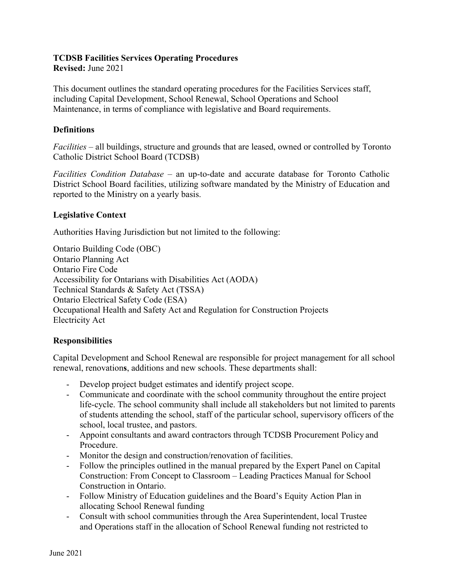## **TCDSB Facilities Services Operating Procedures**

**Revised:** June 2021

This document outlines the standard operating procedures for the Facilities Services staff, including Capital Development, School Renewal, School Operations and School Maintenance, in terms of compliance with legislative and Board requirements.

## **Definitions**

*Facilities* – all buildings, structure and grounds that are leased, owned or controlled by Toronto Catholic District School Board (TCDSB)

*Facilities Condition Database* – an up-to-date and accurate database for Toronto Catholic District School Board facilities, utilizing software mandated by the Ministry of Education and reported to the Ministry on a yearly basis.

## **Legislative Context**

Authorities Having Jurisdiction but not limited to the following:

Ontario Building Code (OBC) Ontario Planning Act Ontario Fire Code Accessibility for Ontarians with Disabilities Act (AODA) Technical Standards & Safety Act (TSSA) Ontario Electrical Safety Code (ESA) Occupational Health and Safety Act and Regulation for Construction Projects Electricity Act

## **Responsibilities**

Capital Development and School Renewal are responsible for project management for all school renewal, renovation**s**, additions and new schools. These departments shall:

- Develop project budget estimates and identify project scope.
- Communicate and coordinate with the school community throughout the entire project life-cycle. The school community shall include all stakeholders but not limited to parents of students attending the school, staff of the particular school, supervisory officers of the school, local trustee, and pastors.
- Appoint consultants and award contractors through TCDSB Procurement Policy and Procedure.
- Monitor the design and construction/renovation of facilities.
- Follow the principles outlined in the manual prepared by the Expert Panel on Capital Construction: From Concept to Classroom – Leading Practices Manual for School Construction in Ontario.
- Follow Ministry of Education guidelines and the Board's Equity Action Plan in allocating School Renewal funding
- Consult with school communities through the Area Superintendent, local Trustee and Operations staff in the allocation of School Renewal funding not restricted to